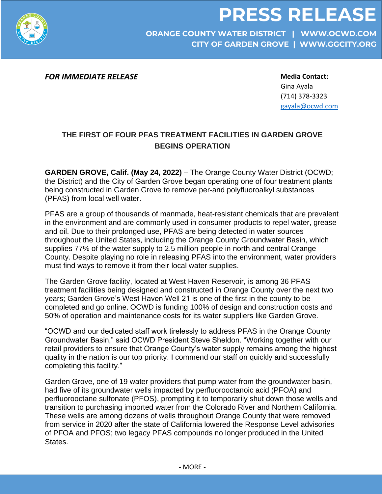



**ORANGE COUNTY WATER DISTRICT | WWW.OCWD.COM CITY OF GARDEN GROVE | WWW.GGCITY.ORG**

*FOR IMMEDIATE RELEASE*

**Media Contact:**  Gina Ayala (714) 378-3323 [gayala@ocwd.com](mailto:gayala@ocwd.com)

## **THE FIRST OF FOUR PFAS TREATMENT FACILITIES IN GARDEN GROVE BEGINS OPERATION**

**GARDEN GROVE, Calif. (May 24, 2022)** – The Orange County Water District (OCWD; the District) and the City of Garden Grove began operating one of four treatment plants being constructed in Garden Grove to remove per-and polyfluoroalkyl substances (PFAS) from local well water.

PFAS are a group of thousands of manmade, heat-resistant chemicals that are prevalent in the environment and are commonly used in consumer products to repel water, grease and oil. Due to their prolonged use, PFAS are being detected in water sources throughout the United States, including the Orange County Groundwater Basin, which supplies 77% of the water supply to 2.5 million people in north and central Orange County. Despite playing no role in releasing PFAS into the environment, water providers must find ways to remove it from their local water supplies.

The Garden Grove facility, located at West Haven Reservoir, is among 36 PFAS treatment facilities being designed and constructed in Orange County over the next two years; Garden Grove's West Haven Well 21 is one of the first in the county to be completed and go online. OCWD is funding 100% of design and construction costs and 50% of operation and maintenance costs for its water suppliers like Garden Grove.

"OCWD and our dedicated staff work tirelessly to address PFAS in the Orange County Groundwater Basin," said OCWD President Steve Sheldon. "Working together with our retail providers to ensure that Orange County's water supply remains among the highest quality in the nation is our top priority. I commend our staff on quickly and successfully completing this facility."

Garden Grove, one of 19 water providers that pump water from the groundwater basin, had five of its groundwater wells impacted by perfluorooctanoic acid (PFOA) and perfluorooctane sulfonate (PFOS), prompting it to temporarily shut down those wells and transition to purchasing imported water from the Colorado River and Northern California. These wells are among dozens of wells throughout Orange County that were removed from service in 2020 after the state of California lowered the Response Level advisories of PFOA and PFOS; two legacy PFAS compounds no longer produced in the United States.